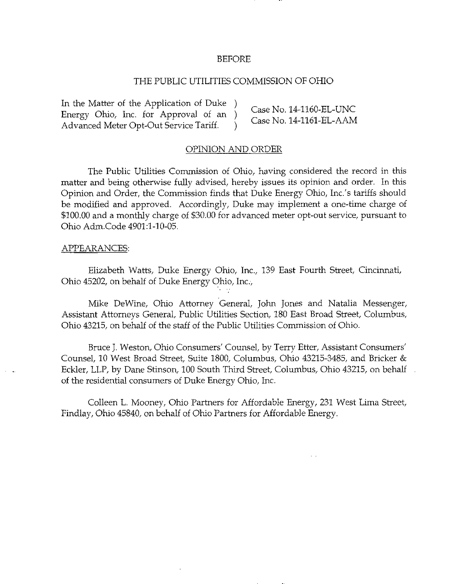#### BEFORE

## THE PUBLIC UTILITIES COMMISSION OF OHIO

In the Matter of the Application of Duke ) \_ ,^ ..-,.^^^ . ...T ^ Energy Ohio, Inc. for Approval of an  $)$  $E$ nergy Ohio, Inc. for Approval of an )  $\overline{C}$  Case No. 14-1161-EL-AAM Advanced Meter Opt-Out Service Tariff. )

#### OPINION AND ORDER

The Public Utilities Commission of Ohio, having considered the record in this matter and being otherwise fully advised, hereby issues its opinion and order. In this Opinion and Order, the Commission finds that Duke Energy Ohio, Inc.'s tariffs should be modified and approved. Accordingly, Duke may implement a one-time charge of \$100.00 and a monthly charge of S30,00 for advanced meter opt-out service, pursuant to Ohio Adm.Code 4901:1-10-05.

#### APPEARANCES:

Elizabeth Watts, Duke Energy Ohio, Inc., 139 East Fourth Street, Cincinnati, Ohio 45202, on behalf of Duke Energy Ohio, Inc.,

Mike DeWine, Ohio Attorney General, John Jones and Natalia Messenger, Assistant Attorneys General, Public Utilities Section, 180 East Broad Street, Columbus, Ohio 43215, on behalf of the staff of the Public Utilities Commission of Ohio.

Bruce J. Weston, Ohio Consumers' Counsel, by Terry Etter, Assistant Consumers' Counsel, 10 West Broad Street, Suite 1800, Columbus, Ohio 43215-3485, and Bricker & Eckler, LLP, by Dane Stinson, 100 South Third Street, Columbus, Ohio 43215, on behalf of the residential consumers of Duke Energy Ohio, Inc.

Colleen L. Mooney, Ohio Partners for Affordable Energy, 231 West Lima Street, Findlay, Ohio 45840, on behalf of Ohio Partners for Affordable Energy.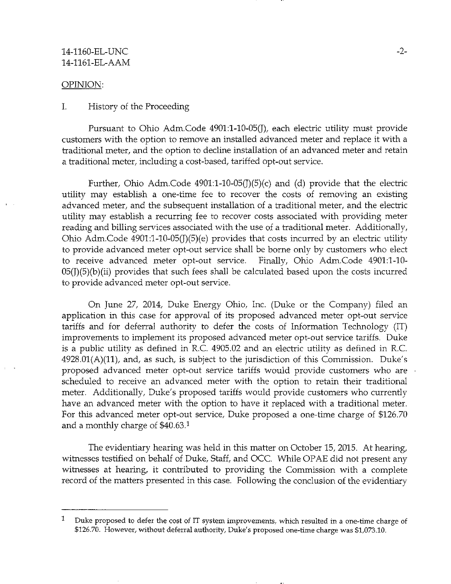## 14-1160-EL-UNC -2- 14-1161-EL-AAM

#### OPINION: OPINION: CONTRACTOR

#### I. History of the Proceeding I. History of the Proceeding

Pursuant to Ohio Adm.Code 4901:1-10-05(J), each electric utility must provide customers with the option to remove an installed advanced meter and replace it with a traditional meter, and the option to decline installation of an advanced meter and retain a traditional meter, including a cost-based, tariffed opt-out service.

Further, Ohio Adm.Code  $4901:1-10-05(1)(5)(c)$  and (d) provide that the electric utility may establish a one-time fee to recover the costs of removing an existing advanced meter, and the subsequent installation of a traditional meter, and the electric utility may establish a recurring fee to recover costs associated with providing meter reading and billing services associated with the use of a traditional meter. Additionally, Ohio Adm.Code  $4901:1-10-05(J)(5)(e)$  provides that costs incurred by an electric utility to provide advanced meter opt-out service shall be borne only by customers who elect to receive advanced meter opt-out service. Finally, Ohio Adm.Code 4901:1-10-  $05(J)(5)(b)(ii)$  provides that such fees shall be calculated based upon the costs incurred to provide advanced meter opt-out service.

On June 27, 2014, Duke Energy Ohio, Inc. (Duke or the Company) filed an application in this case for approval of its proposed advanced meter opt-out service tariffs and for deferral authority to defer the costs of Information Technology (IT) improvements to implement its proposed advanced meter opt-out service tariffs. Duke is a public utility as defined in R.C. 4905.02 and an electric utility as defined in R.C.  $4928.01(A)(11)$ , and, as such, is subject to the jurisdiction of this Commission. Duke's proposed advanced meter opt-out service tariffs would provide customers who are scheduled to receive an advanced meter with the option to retain their traditional meter. Additionally, Duke's proposed tariffs would provide customers who currently have an advanced meter with the option to have it replaced with a traditional meter. For this advanced meter opt-out service, Duke proposed a one-time charge of \$126.70 and a monthly charge of  $$40.63<sup>1</sup>$ 

The evidentiary hearing was held in this matter on October 15, 2015. At hearing, witnesses testified on behalf of Duke, Staff, and OCC. While OPAE did not present any witnesses at hearing, it contributed to providing the Commission with a complete record of the matters presented in this case. Following the conclusion of the evidentiary

 $\mathbf{1}$ Duke proposed to defer the cost of IT system improvements, which resulted in a one-time charge of \$126.70. However, without deferral authority. Duke's proposed one-time charge was \$1,073.10.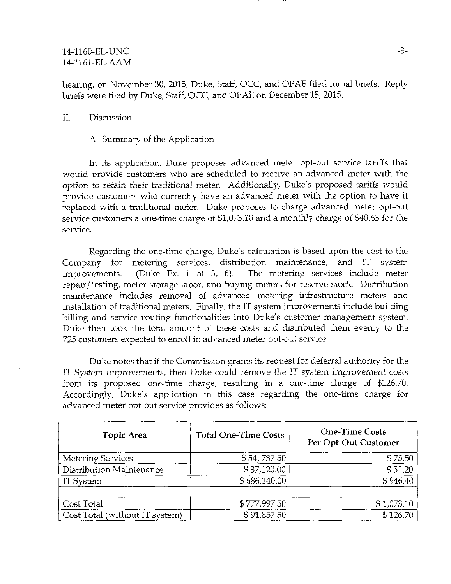# 14-1160-EL-UNC 14-1161-EL-AAM

hearing, on November 30, 2015, Duke, Staff, OCC, and OPAE filed initial briefs. Reply briefs were filed by Duke, Staff, OCC, and OPAE on December 15, 2015.

## II. Discussion

## A. Summary of the Application

In its application, Duke proposes advanced meter opt-out service tariffs that would provide customers who are scheduled to receive an advanced meter with the option to retain their traditional meter. Additionally, Duke's proposed tariffs would provide customers who currently have an advanced meter with the option to have it replaced with a traditional meter. Duke proposes to charge advanced meter opt-out service customers a one-time charge of \$1,073.10 and a monthly charge of \$40.63 for the service.

Regarding the one-time charge, Duke's calculation is based upon the cost to the Company for metering services, distribution maintenance, and IT system improvements. (Duke Ex. 1 at 3, 6). The metering services include meter repair/testing, meter storage labor, and buying meters for reserve stock. Distribution maintenance includes removal of advanced metering infrastructure meters and installation of traditional meters. Finally, the IT system improvements include building billing and service routing functionalities into Duke's customer management system. Duke then took the total amount of these costs and distributed them evenly to the 725 customers expected to enroll in advanced meter opt-out service.

Duke notes that if the Commission grants its request for deferral authority for the IT System improvements, then Duke could remove the IT system improvement costs from its proposed one-time charge, resulting in a one-time charge of \$126.70. Accordingly, Duke's application in this case regarding the one-time charge for advanced meter opt-out service provides as follows:

| Topic Area                     | <b>Total One-Time Costs</b> | <b>One-Time Costs</b><br>Per Opt-Out Customer |  |
|--------------------------------|-----------------------------|-----------------------------------------------|--|
| <b>Metering Services</b>       | \$54,737.50                 | \$75.50                                       |  |
| Distribution Maintenance       | \$37,120.00                 | \$51.20                                       |  |
| IT System                      | \$686,140.00                | \$946.40                                      |  |
| Cost Total                     | \$777,997.50                | \$1,073.10                                    |  |
| Cost Total (without IT system) | \$91,857.50                 | \$126.70                                      |  |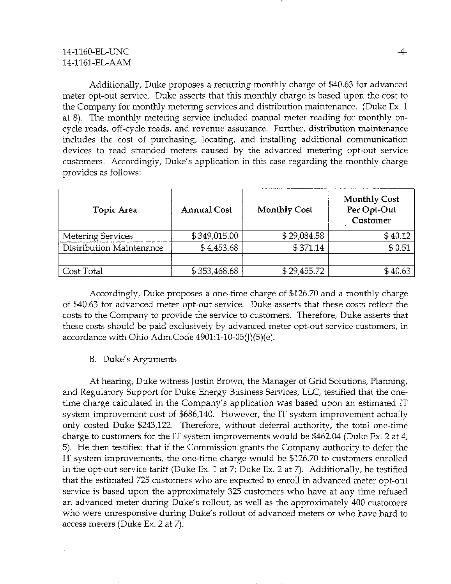# 14-1160-EL-UNC 14-1161-EL-AAM

Additionally, Duke proposes a recurring monthly charge of \$40.63 for advanced meter opt-out service. Duke asserts that this monthly charge is based upon the cost to the Company for monthly metering services and distribution maintenance. (Duke Ex. 1 at 8). The monthly metering service included manual meter reading for monthly oncycle reads, off-cycle reads, and revenue assurance. Further, distribution maintenance includes the cost of purchasing, locating, and installing additional communication devices to read stranded meters caused by the advanced metering opt-out service customers. Accordingly, Duke's application in this case regarding the monthly charge provides as follows:

| Topic Area               | <b>Annual Cost</b> | <b>Monthly Cost</b> | <b>Monthly Cost</b><br>Per Opt-Out<br>Customer |
|--------------------------|--------------------|---------------------|------------------------------------------------|
| <b>Metering Services</b> | \$349,015.00       | \$29,084.58         | \$40.12                                        |
| Distribution Maintenance | \$4,453.68         | \$371.14            | \$0.51                                         |
|                          |                    |                     |                                                |
| Cost Total               | \$353,468.68       | \$29,455.72         | \$40.63                                        |

Accordingly, Duke proposes a one-time charge of \$126.70 and a monthly charge of \$40.63 for advanced meter opt-out service. Duke asserts that these costs reflect the costs to the Company to provide the service to customers. Therefore, Duke asserts that these costs should be paid exclusively by advanced meter opt-out service customers, in accordance with Ohio Adm.Code 4901:l-10-05(J)(5)(e).

## B. Duke's Arguments

At hearing, Duke witness Justin Brown, the Manager of Grid Solutions, Planning, and Regulatory Support for Duke Energy Business Services, LLC, testified that the onetime charge calculated in the Company's application was based upon an estimated IT system improvement cost of \$686,140. However, the IT system improvement actually only costed Duke \$243,122. Therefore, without deferral authority, the total one-time charge to customers for the IT system improvements would be \$462.04 (Duke Ex. 2 at 4, 5). He then testified that if the Commission grants the Company authority to defer the IT system improvements, the one-time charge would be \$126.70 to customers enrolled in the opt-out service tariff (Duke Ex. 1 at 7; Duke Ex. 2 at 7). Additionally, he testified that the estimated 725 customers who are expected to enroll in advanced meter opt-out service is based upon the approximately 325 customers who have at any time refused an advanced meter during Duke's rollout, as well as the approximately 400 customers who were unresponsive during Duke's rollout of advanced meters or who have hard to access meters (Duke Ex. 2 at 7).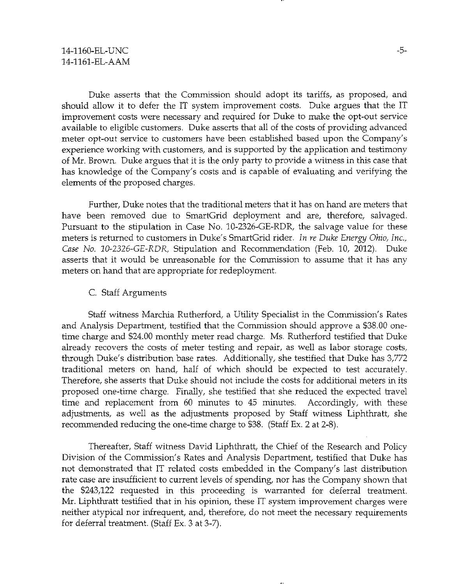Duke asserts that the Commission should adopt its tariffs, as proposed, and should allow it to defer the IT system improvement costs. Duke argues that the IT improvement costs were necessary and required for Duke to make the opt-out service available to eligible customers. Duke asserts that all of the costs of providing advanced meter opt-out service to customers have been established based upon the Company's experience working with customers, and is supported by the application and testimony of Mr. Brown. Duke argues that it is the only party to provide a witness in this case that has knowledge of the Company's costs and is capable of evaluating and verifying the elements of the proposed charges.

Further, Duke notes that the traditional meters that it has on hand are meters that have been removed due to SmartGrid deployment and are, therefore, salvaged. Pursuant to the stipulation in Case No. 10-2326-GE-RDR, the salvage value for these meters is returned to customers in Duke's SmartGrid rider. In re Duke Energy Ohio, Inc., Case No. 10-2326-GE-RDR, Stipulation and Recommendation (Feb. 10, 2012). Duke asserts that it would be unreasonable for the Commission to assume that it has any meters on hand that are appropriate for redeployment.

# C. Staff Arguments

Staff witness Marchia Rutherford, a Utility Specialist in the Commission's Rates and Analysis Department, testified that the Commission should approve a \$38.00 onetime charge and \$24.00 monthly meter read charge. Ms. Rutherford testified that Duke already recovers the costs of meter testing and repair, as well as labor storage costs, through Duke's distribution base rates. Additionally, she testified that Duke has 3,772 traditional meters on hand, half of which should be expected to test accurately. Therefore, she asserts that Duke should not include the costs for additional meters in its proposed one-time charge. Finally, she testified that she reduced the expected travel time and replacement from 60 minutes to 45 minutes. Accordingly, with these adjustments, as well as the adjustments proposed by Staff witness Liphthratt, she recommended reducing the one-time charge to \$38. (Staff Ex. 2 at 2-8).

Thereafter, Staff witness David Liphthratt, the Chief of the Research and Policy Division of the Commission's Rates and Analysis Department, testified that Duke has not demonstrated that IT related costs embedded in the Company's last distribution rate case are insufficient to current levels of spending, nor has the Company shown that the \$243,122 requested in this proceeding is warranted for deferral treatment. Mr. Liphthratt testified that in his opinion, these IT system improvement charges were neither atypical nor infrequent, and, therefore, do not meet the necessary requirements for deferral treatment. (Staff Ex. 3 at 3-7).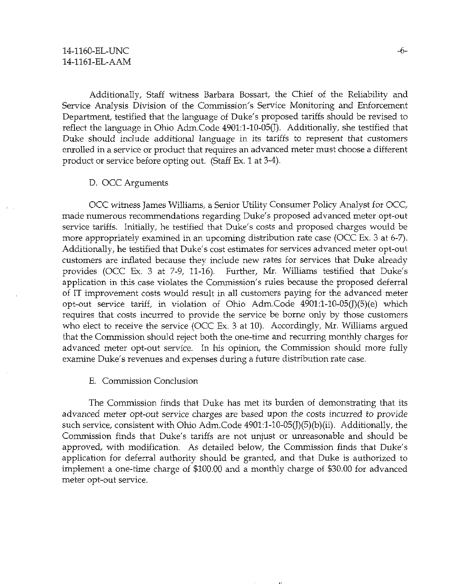Additionally, Staff witness Barbara Bossart, the Chief of the Reliability and Service Analysis Division of the Commission's Service Monitoring and Enforcement Department, testified that the language of Duke's proposed tariffs should be revised to reflect the language in Ohio Adm.Code 4901:1-10-05(J). Additionally, she testitied that Duke should include additional language in its tariffs to represent that customers enrolled in a service or product that requires an advanced meter must choose a different product or service before opting out. (Staff Ex. 1 at 3-4).

## D. OCC Arguments

OCC witness James Williams, a Senior Utility Consumer Policy Analyst for OCC, made numerous recommendations regarding Duke's proposed advanced meter opt-out service tariffs. Initially, he testified that Duke's costs and proposed charges would be more appropriately examined in an upcoming distribution rate case (OCC Ex. 3 at 6-7). Additionally, he testified that Duke's cost estimates for services advanced meter opt-out customers are inflated because they include new rates for services that Duke already provides (OCC Ex. 3 at 7-9, 11-16). Further, Mr. Williams testified that Duke's application in this case violates the Commission's rules because the proposed deferral of IT improvement costs would result in all customers paying for the advanced meter opt-out service tariff, in violation of Ohio Adm.Code 4901:l-10-05(J)(5)(e) which requires that costs incurred to provide the service be borne only by those customers who elect to receive the service (OCC Ex. 3 at 10). Accordingly, Mr. Williams argued that the Commission should reject both the one-time and recurring monthly charges for advanced meter opt-out service. In his opinion, the Commission should more fully examine Duke's revenues and expenses during a future distribution rate case.

#### E. Commission Conclusion

The Commission finds that Duke has met its burden of demonstrating that its advanced meter opt-out service charges are based upon the costs incurred to provide such service, consistent with Ohio Adm.Code 4901:l-10-05(J)(5)(b)(ii). Additionally, the Commission finds that Duke's tariffs are not unjust or unreasonable and should be approved, with modification. As detailed below, the Commission finds that Duke's application for deferral authority should be granted, and that Duke is authorized to implement a one-time charge of \$100.00 and a monthly charge of \$30.00 for advanced meter opt-out service.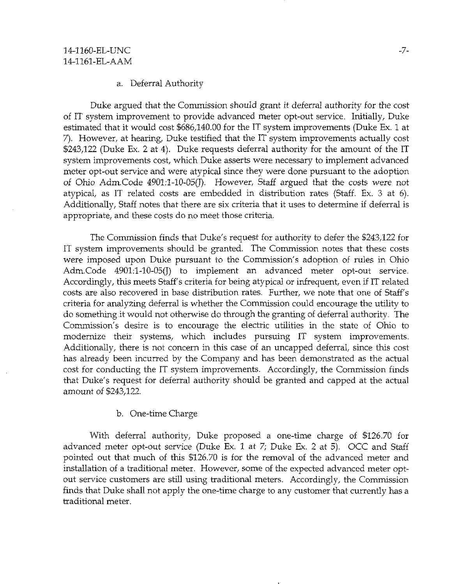#### a. Deferral Authority

Duke argued that the Commission should grant it deferral authority for the cost of IT system improvement to provide advanced meter opt-out service. Initially, Duke estimated that it would cost \$686440.00 for the IT system improvements (Duke Ex. 1 at 7). However, at hearing, Duke testified that the IT system improvements actually cost \$243,122 (Duke Ex. 2 at 4). Duke requests deferral authority for the amount of the IT system improvements cost, which Duke asserts were necessary to implement advanced meter opt-out service and were atypical since they were done pursuant to the adoption of Ohio Adm.Code 4901:1-10-05(J). However, Staff argued that the costs were not atypical, as IT related costs are embedded in distribution rates (Staff. Ex. 3 at 6). Additionally, Staff notes that there are six criteria that it uses to determine if deferral is appropriate, and these costs do no meet those criteria.

The Commission finds that Duke's request for authority to defer the \$243,122 for IT system improvements should be granted. The Commission notes that these costs were imposed upon Duke pursuant to the Commission's adoption of rules in Ohio Adm.Code  $4901:1-10-05(1)$  to implement an advanced meter opt-out service. Accordingly, this meets Staff's criteria for being atypical or infrequent, even if IT related costs are also recovered in base distribution rates. Further, we note that one of Staff's criteria for analyzing deferral is whether the Commission could encourage the utility to do [something.it](http://something.it) would not otherwise do through the granting of deferral authority, The Commission's desire is to encourage the electric utilities in the state of Ohio to modernize their systems, which includes pursuing IT system improvements. Additionally, there is not concern in this case of an uncapped deferral, since this cost has already been incurred by the Company and has been demonstrated as the actual cost for conducting the IT system improvements. Accordingly, the Commission finds that Duke's request for deferral authority should be granted and capped at the actual amount of \$243,122.

## b. One-time Charge

With deferral authority, Duke proposed a one-time charge of \$126.70 for advanced meter opt-out service (Duke Ex. 1 at 7; Duke Ex. 2 at 5). OCC and Staff pointed out that much of this \$126.70 is for the removal of the advanced meter and installation of a traditional meter. However, some of the expected advanced meter optout service customers are still using traditional meters. Accordingly, the Commission finds that Duke shall not apply the one-time charge to any customer that currently has a traditional meter.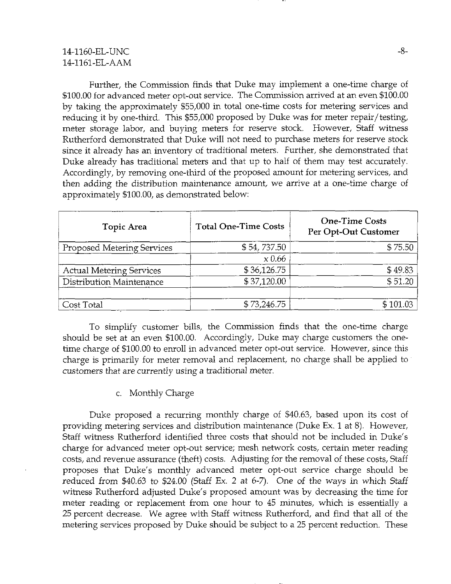# 14-1160-EL-UNC 14-1161-EL-AAM

Further, the Commission finds that Duke may implement a one-time charge of \$100.00 for advanced meter opt-out service. The Commission arrived at an even \$100.00 by taking the approximately \$55,000 in total one-time costs for metering services and reducing it by one-third. This \$55,000 proposed by Duke was for meter repair/testing, meter storage labor, and buying meters for reserve stock. However, Staff witness Rutherford demonstrated that Duke will not need to purchase meters for reserve stock since it already has an inventory of traditional meters. Further, she demonstrated that Duke already has traditional meters and that up to half of them may test accurately. Accordingly, by removing one-third of the proposed amount for metering services, and then adding the distribution maintenance amount, we arrive at a one-time charge of approximately \$100.00, as demonstrated below:

| Topic Area                      | <b>Total One-Time Costs</b> | <b>One-Time Costs</b><br>Per Opt-Out Customer |
|---------------------------------|-----------------------------|-----------------------------------------------|
| Proposed Metering Services      | \$54,737.50                 | \$75.50                                       |
|                                 | $\times 0.66$               |                                               |
| <b>Actual Metering Services</b> | \$36,126.75                 | \$49.83                                       |
| Distribution Maintenance        | \$37,120.00                 | \$51.20                                       |
| Cost Total                      | \$73,246.75                 | \$101.03                                      |

To simplify customer bills, the Commission finds that the one-time charge should be set at an even \$100.00. Accordingly, Duke may charge customers the onetime charge of \$100.00 to enroll in advanced meter opt-out service. However, since this charge is primarily for meter removal and replacement, no charge shall be applied to customers that are currently using a traditional meter.

## c. Monthly Charge

Duke proposed a recurring monthly charge of \$40.63, based upon its cost of providing metering services and distribution maintenance (Duke Ex. 1 at 8). However, Staff witness Rutherford identified three costs that should not be included in Duke's charge for advanced meter opt-out service; mesh network costs, certain meter reading costs, and revenue assurance (theft) costs. Adjusting for the removal of these costs. Staff proposes that Duke's monthly advanced meter opt-out service charge should be reduced from \$40.63 to \$24.00 (Staff Ex. 2 at 6-7). One of the ways in which Staff witness Rutherford adjusted Duke's proposed amount was by decreasing the time for meter reading or replacement from one hour to 45 minutes, which is essentially a 25 percent decrease. We agree with Staff witness Rutherford, and find that all of the metering services proposed by Duke should be subject to a 25 percent reduction. These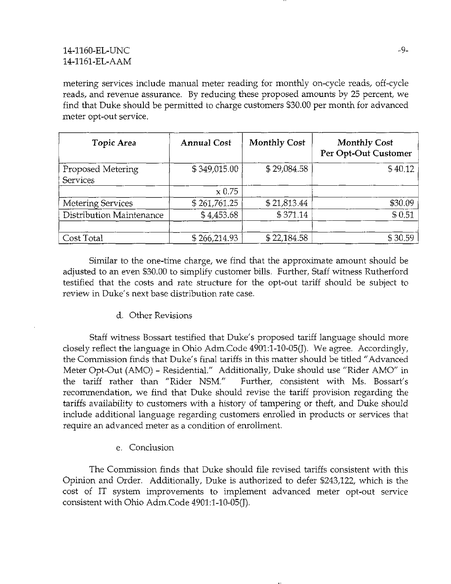metering services include manual meter reading for monthly on-cycle reads^ off-cycle reads, and revenue assurance. By reducing these proposed amounts by 25 percent, we find that Duke should be permitted to charge customers \$30.00 per month for advanced meter opt-out service.

| Topic Area                           | <b>Annual Cost</b> | <b>Monthly Cost</b> | <b>Monthly Cost</b><br>Per Opt-Out Customer |
|--------------------------------------|--------------------|---------------------|---------------------------------------------|
| Proposed Metering<br><b>Services</b> | \$349,015.00       | \$29.084.58         | \$40.12                                     |
|                                      | $\times 0.75$      |                     |                                             |
| <b>Metering Services</b>             | \$261,761.25       | \$21,813.44         | \$30.09                                     |
| Distribution Maintenance             | \$4,453.68         | \$371.14            | \$0.51                                      |
| Cost Total                           | \$266,214.93       | \$22,184.58         | \$30.59                                     |

Similar to the one-time charge, we find that the approximate amount should be adjusted to an even \$30.00 to simplify customer bills. Further, Staff witness Rutherford testified that the costs and rate structure for the opt-out tariff should be subject to review in Duke's next base distribution rate case.

d. Other Revisions

Staff witness Bossart testified that Duke's proposed tariff language should more closely reflect the language in Ohio Adm.Code 4901:1-10~05(J). We agree. Accordingly, the Commission finds that Duke's final tariffs in this matter should be titled "Advanced Meter Opt-Out (AMO) - Residential." Additionally, Duke should use "Rider AMO" in the tariff rather than "Rider NSM." Further, consistent with Ms. Bossart's recommendation, we find that Duke should revise the tariff provision regarding the tariffs availability to customers with a history of tampering or theft, and Duke should include additional language regarding customers enrolled in products or services that require an advanced meter as a condition of enrollment.

e. Conclusion

The Commission finds that Duke should file revised tariffs consistent with this Opinion and Order. Additionally, Duke is authorized to defer \$243,122, which is the cost of IT system improvements to implement advanced meter opt-out service consistent with Ohio Adm.Code 4901:1-10-05(J).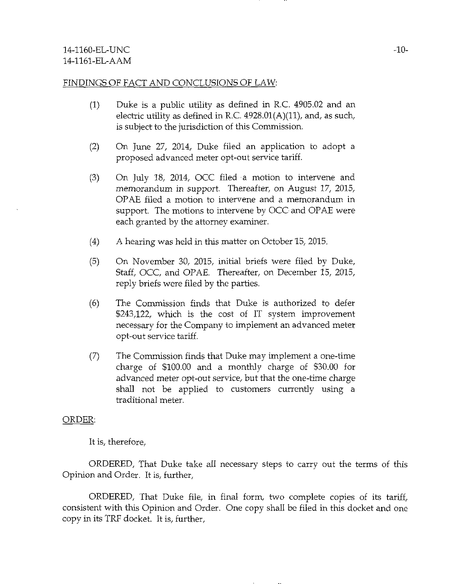## FINDINGS OF FACT AND CONCLUSIONS OF LAW:

- (1) Duke is a public utility as defined in R.C. 4905.02 and an electric utility as defined in R.C. 4928.01(A)(11), and, as such, is subject to the jurisdiction of this Commission.
- (2) On June 27, 2014, Duke filed an application to adopt a proposed advanced meter opt-out service tariff.
- (3) On July 18, 2014, OCC filed a motion to intervene and memorandum in support. Thereafter, on August 17, 2015, OPAE filed a motion to intervene and a memorandum in support. The motions to intervene by OCC and OPAE were each granted by the attorney examiner.
- (4) A hearing was held in this matter on October 15, 2015.
- (5) On November 30, 2015, initial briefs were filed by Duke, Staff, OCC, and OPAE. Thereafter, on December 15, 2015, reply briefs were filed by the parties.
- (6) The Commission finds that Duke is authorized to defer \$243,122, which is the cost of IT system improvement necessary for the Company to implement an advanced meter opt-out service tariff.
- (7) The Commission finds that Duke may implement a one-time charge of \$100.00 and a monthly charge of \$30.00 for advanced meter opt-out service, but that the one-time charge shall not be applied to customers currently using a traditional meter.

## ORDER:

It is, therefore,

ORDERED, That Duke take all necessary steps to carry out the terms of this Opinion and Order. It is, further,

ORDERED, That Duke file, in final form, two complete copies of its tariff, consistent with this Opinion and Order. One copy shall be filed in this docket and one copy in its TRF docket. It is, further.